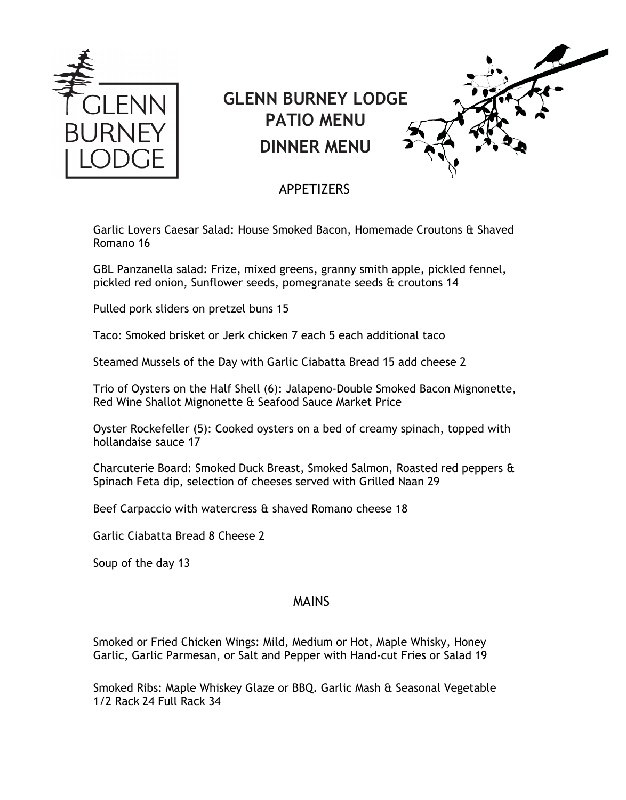

# **GLENN BURNEY LODGE PATIO MENU DINNER MENU**



## APPETIZERS

Garlic Lovers Caesar Salad: House Smoked Bacon, Homemade Croutons & Shaved Romano 16

GBL Panzanella salad: Frize, mixed greens, granny smith apple, pickled fennel, pickled red onion, Sunflower seeds, pomegranate seeds & croutons 14

Pulled pork sliders on pretzel buns 15

Taco: Smoked brisket or Jerk chicken 7 each 5 each additional taco

Steamed Mussels of the Day with Garlic Ciabatta Bread 15 add cheese 2

Trio of Oysters on the Half Shell (6): Jalapeno-Double Smoked Bacon Mignonette, Red Wine Shallot Mignonette & Seafood Sauce Market Price

Oyster Rockefeller (5): Cooked oysters on a bed of creamy spinach, topped with hollandaise sauce 17

Charcuterie Board: Smoked Duck Breast, Smoked Salmon, Roasted red peppers & Spinach Feta dip, selection of cheeses served with Grilled Naan 29

Beef Carpaccio with watercress & shaved Romano cheese 18

Garlic Ciabatta Bread 8 Cheese 2

Soup of the day 13

#### MAINS

Smoked or Fried Chicken Wings: Mild, Medium or Hot, Maple Whisky, Honey Garlic, Garlic Parmesan, or Salt and Pepper with Hand-cut Fries or Salad 19

Smoked Ribs: Maple Whiskey Glaze or BBQ. Garlic Mash & Seasonal Vegetable 1/2 Rack 24 Full Rack 34